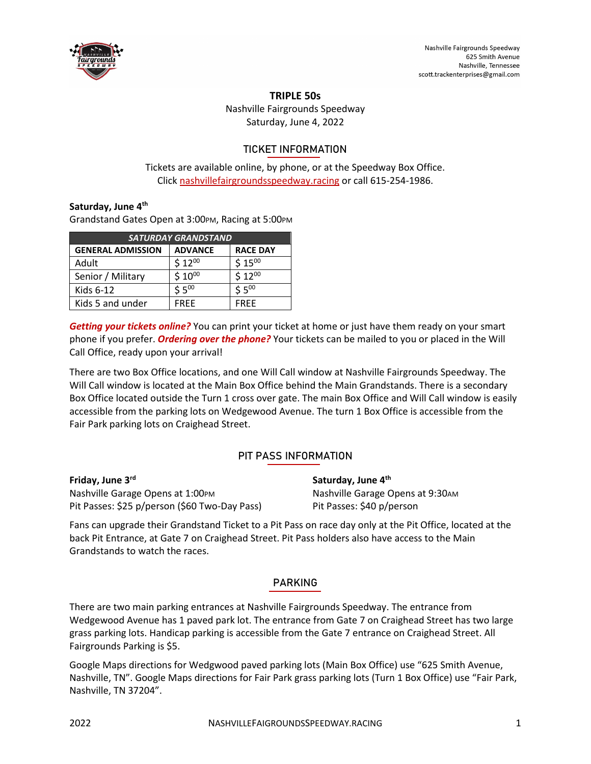

### **TRIPLE 50s**

Nashville Fairgrounds Speedway Saturday, June 4, 2022

## TICKET INFORMATION

Tickets are available online, by phone, or at the Speedway Box Office. Click [nashvillefairgroundsspeedway.racing](https://www.nashvillefairgroundsspeedway.racing/) or call 615-254-1986.

## **Saturday, June 4th**

Grandstand Gates Open at 3:00PM, Racing at 5:00PM

| <b>SATURDAY GRANDSTAND</b> |                |                 |
|----------------------------|----------------|-----------------|
| <b>GENERAL ADMISSION</b>   | <b>ADVANCE</b> | <b>RACE DAY</b> |
| Adult                      | $$12^{00}$     | $$15^{00}$      |
| Senior / Military          | $$10^{00}$     | $$12^{00}$      |
| Kids 6-12                  | $5.5^{00}$     | $55^{00}$       |
| Kids 5 and under           | FRFF           | <b>FRFF</b>     |

*Getting your tickets online?* You can print your ticket at home or just have them ready on your smart phone if you prefer. *Ordering over the phone?* Your tickets can be mailed to you or placed in the Will Call Office, ready upon your arrival!

There are two Box Office locations, and one Will Call window at Nashville Fairgrounds Speedway. The Will Call window is located at the Main Box Office behind the Main Grandstands. There is a secondary Box Office located outside the Turn 1 cross over gate. The main Box Office and Will Call window is easily accessible from the parking lots on Wedgewood Avenue. The turn 1 Box Office is accessible from the Fair Park parking lots on Craighead Street.

# PIT PASS INFORMATION

| Friday, June 3 <sup>rd</sup>                  | Saturday, June 4th                |
|-----------------------------------------------|-----------------------------------|
| Nashville Garage Opens at 1:00PM              | Nashville Garage Opens at 9:30 AM |
| Pit Passes: \$25 p/person (\$60 Two-Day Pass) | Pit Passes: \$40 p/person         |

Fans can upgrade their Grandstand Ticket to a Pit Pass on race day only at the Pit Office, located at the back Pit Entrance, at Gate 7 on Craighead Street. Pit Pass holders also have access to the Main Grandstands to watch the races.

## PARKING

There are two main parking entrances at Nashville Fairgrounds Speedway. The entrance from Wedgewood Avenue has 1 paved park lot. The entrance from Gate 7 on Craighead Street has two large grass parking lots. Handicap parking is accessible from the Gate 7 entrance on Craighead Street. All Fairgrounds Parking is \$5.

Google Maps directions for Wedgwood paved parking lots (Main Box Office) use "625 Smith Avenue, Nashville, TN". Google Maps directions for Fair Park grass parking lots (Turn 1 Box Office) use "Fair Park, Nashville, TN 37204".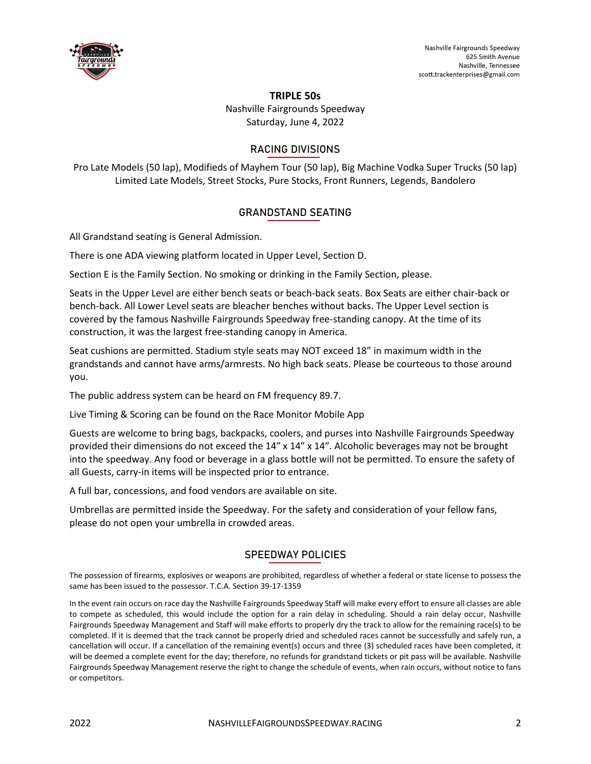

#### **TRIPLE 50s**

Nashville Fairgrounds Speedway Saturday, June 4, 2022

### RACING DIVISIONS

Pro Late Models (50 lap), Modifieds of Mayhem Tour (50 lap), Big Machine Vodka Super Trucks (50 lap) Limited Late Models, Street Stocks, Pure Stocks, Front Runners, Legends, Bandolero

### GRANDSTAND SEATING

All Grandstand seating is General Admission.

There is one ADA viewing platform located in Upper Level, Section D.

Section E is the Family Section. No smoking or drinking in the Family Section, please.

Seats in the Upper Level are either bench seats or beach-back seats. Box Seats are either chair-back or bench-back. All Lower Level seats are bleacher benches without backs. The Upper Level section is covered by the famous Nashville Fairgrounds Speedway free-standing canopy. At the time of its construction, it was the largest free-standing canopy in America.

Seat cushions are permitted. Stadium style seats may NOT exceed 18" in maximum width in the grandstands and cannot have arms/armrests. No high back seats. Please be courteous to those around you.

The public address system can be heard on FM frequency 89.7.

Live Timing & Scoring can be found on the Race Monitor Mobile App

Guests are welcome to bring bags, backpacks, coolers, and purses into Nashville Fairgrounds Speedway provided their dimensions do not exceed the 14″ x 14″ x 14″. Alcoholic beverages may not be brought into the speedway. Any food or beverage in a glass bottle will not be permitted. To ensure the safety of all Guests, carry-in items will be inspected prior to entrance.

A full bar, concessions, and food vendors are available on site.

Umbrellas are permitted inside the Speedway. For the safety and consideration of your fellow fans, please do not open your umbrella in crowded areas.

#### SPEEDWAY POLICIES

The possession of firearms, explosives or weapons are prohibited, regardless of whether a federal or state license to possess the same has been issued to the possessor. T.C.A. Section 39-17-1359

In the event rain occurs on race day the Nashville Fairgrounds Speedway Staff will make every effort to ensure all classes are able to compete as scheduled, this would include the option for a rain delay in scheduling. Should a rain delay occur, Nashville Fairgrounds Speedway Management and Staff will make efforts to properly dry the track to allow for the remaining race(s) to be completed. If it is deemed that the track cannot be properly dried and scheduled races cannot be successfully and safely run, a cancellation will occur. If a cancellation of the remaining event(s) occurs and three (3) scheduled races have been completed, it will be deemed a complete event for the day; therefore, no refunds for grandstand tickets or pit pass will be available. Nashville Fairgrounds Speedway Management reserve the right to change the schedule of events, when rain occurs, without notice to fans or competitors.